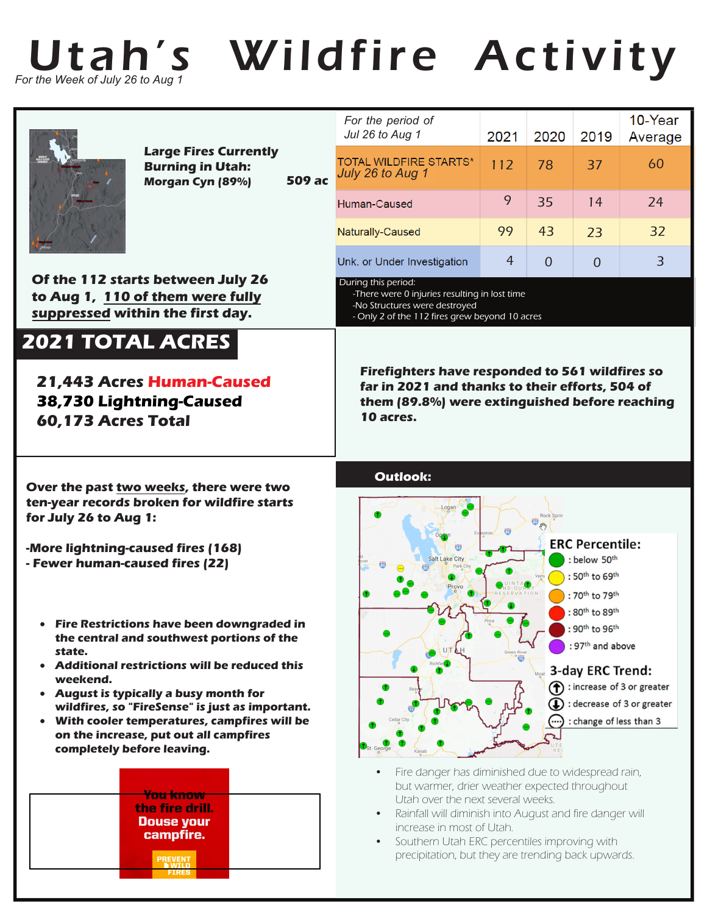

**NWILD**<br>FIRES

## Utah's Wildfire Activity

|                                                                                                                                                                                          | <b>Large Fires Currently</b><br><b>Burning in Utah:</b><br>Morgan Cyn (89%)                                                                                                                                                                                                                                                           | <b>509 ac</b>   | For the period of<br>Jul 26 to Aug 1                                                                                                                                                                                             | 2021       | 2020                                                                       | 2019                                                                                                            | 10-Year<br>Average                                                 |
|------------------------------------------------------------------------------------------------------------------------------------------------------------------------------------------|---------------------------------------------------------------------------------------------------------------------------------------------------------------------------------------------------------------------------------------------------------------------------------------------------------------------------------------|-----------------|----------------------------------------------------------------------------------------------------------------------------------------------------------------------------------------------------------------------------------|------------|----------------------------------------------------------------------------|-----------------------------------------------------------------------------------------------------------------|--------------------------------------------------------------------|
|                                                                                                                                                                                          |                                                                                                                                                                                                                                                                                                                                       |                 | <b>TOTAL WILDFIRE STARTS*</b><br>July 26 to Aug 1                                                                                                                                                                                | 112        | 78                                                                         | 37                                                                                                              | 60                                                                 |
|                                                                                                                                                                                          |                                                                                                                                                                                                                                                                                                                                       |                 | Human-Caused                                                                                                                                                                                                                     | 9          | 35                                                                         | 14                                                                                                              | 24                                                                 |
|                                                                                                                                                                                          |                                                                                                                                                                                                                                                                                                                                       |                 | Naturally-Caused                                                                                                                                                                                                                 | 99         | 43                                                                         | 23                                                                                                              | 32                                                                 |
|                                                                                                                                                                                          |                                                                                                                                                                                                                                                                                                                                       |                 | Unk. or Under Investigation                                                                                                                                                                                                      | 4          | $\Omega$                                                                   | 0                                                                                                               | $\overline{3}$                                                     |
| Of the 112 starts between July 26<br>to Aug 1, 110 of them were fully<br>suppressed within the first day.                                                                                |                                                                                                                                                                                                                                                                                                                                       |                 | During this period:<br>-There were 0 injuries resulting in lost time<br>-No Structures were destroyed<br>- Only 2 of the 112 fires grew beyond 10 acres                                                                          |            |                                                                            |                                                                                                                 |                                                                    |
| <b>2021 TOTAL ACRES</b><br><b>21,443 Acres Human-Caused</b><br>38,730 Lightning-Caused<br>60,173 Acres Total                                                                             |                                                                                                                                                                                                                                                                                                                                       |                 | <b>Firefighters have responded to 561 wildfires so</b><br>far in 2021 and thanks to their efforts, 504 of<br>them (89.8%) were extinguished before reaching<br>10 acres.                                                         |            |                                                                            |                                                                                                                 |                                                                    |
| Over the past two weeks, there were two<br>ten-year records broken for wildfire starts<br>for July 26 to Aug 1:<br>-More lightning-caused fires (168)<br>- Fewer human-caused fires (22) |                                                                                                                                                                                                                                                                                                                                       | <b>Outlook:</b> |                                                                                                                                                                                                                                  |            |                                                                            |                                                                                                                 |                                                                    |
|                                                                                                                                                                                          |                                                                                                                                                                                                                                                                                                                                       |                 |                                                                                                                                                                                                                                  | Rock Sprin | <b>ERC Percentile:</b><br>: below 50th<br>: 50th to 69th<br>: 70th to 79th |                                                                                                                 |                                                                    |
| state.<br>weekend.<br>$\bullet$<br>completely before leaving.                                                                                                                            | <b>Fire Restrictions have been downgraded in</b><br>the central and southwest portions of the<br>• Additional restrictions will be reduced this<br>• August is typically a busy month for<br>wildfires, so "FireSense" is just as important.<br>With cooler temperatures, campfires will be<br>on the increase, put out all campfires |                 |                                                                                                                                                                                                                                  |            |                                                                            | : 80th to 89th<br>: 90th to 96th<br>: 97 <sup>th</sup> and above<br>3-day ERC Trend:<br>: change of less than 3 | $\bigcap$ : increase of 3 or greater<br>: decrease of 3 or greater |
|                                                                                                                                                                                          | <b>You know</b><br>the fire drill.<br><b>Douse your</b><br>campfire.                                                                                                                                                                                                                                                                  |                 | Fire danger has diminished due to widespread rain,<br>but warmer, drier weather expected throughout<br>Utah over the next several weeks.<br>Rainfall will diminish into August and fire danger will<br>increase in most of Utah. |            |                                                                            |                                                                                                                 |                                                                    |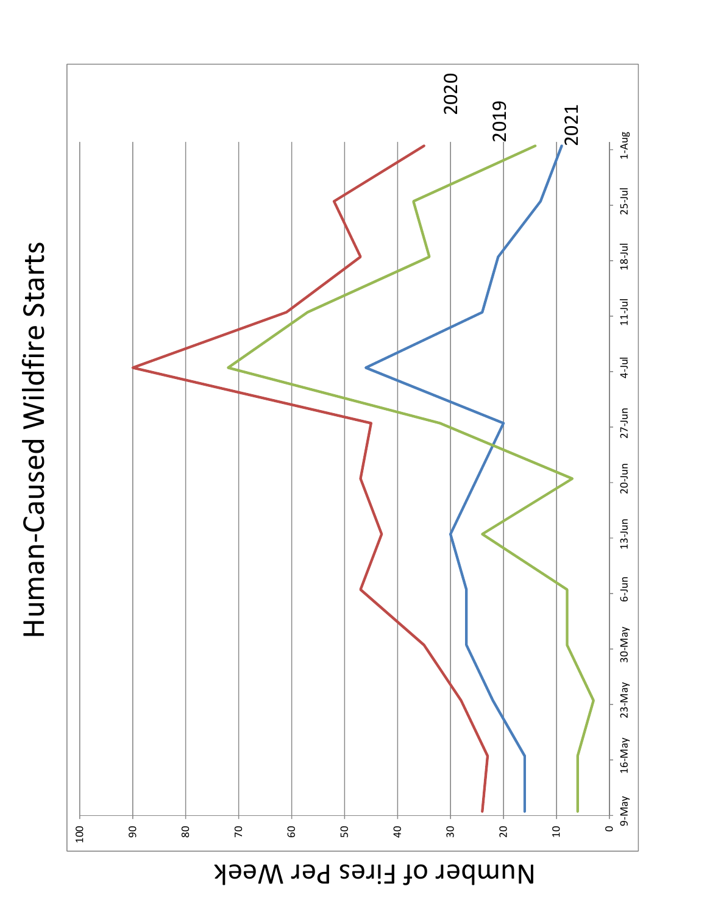Human-Caused Wildfire Starts Human-Caused Wildfire Starts



Number of Fires Per Week